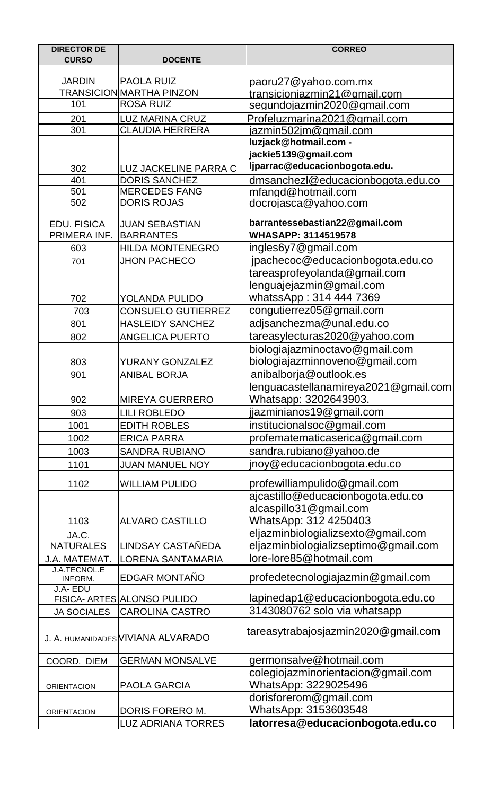| <b>DIRECTOR DE</b>             |                                            | <b>CORREO</b>                                              |
|--------------------------------|--------------------------------------------|------------------------------------------------------------|
| <b>CURSO</b>                   | <b>DOCENTE</b>                             |                                                            |
| <b>JARDIN</b>                  | <b>PAOLA RUIZ</b>                          | <u>paoru27@yahoo.com.mx</u>                                |
|                                | <b>TRANSICION MARTHA PINZON</b>            | transicioniazmin21@gmail.com                               |
| 101                            | <b>ROSA RUIZ</b>                           | segundojazmin2020@gmail.com                                |
| 201                            | <b>LUZ MARINA CRUZ</b>                     | Profeluzmarina2021@gmail.com                               |
| 301                            | <b>CLAUDIA HERRERA</b>                     | jazmin502jm@gmail.com                                      |
|                                |                                            | luzjack@hotmail.com -                                      |
|                                |                                            | jackie5139@gmail.com                                       |
| 302                            | LUZ JACKELINE PARRA C                      | Ijparrac@educacionbogota.edu.                              |
| 401                            | <b>DORIS SANCHEZ</b>                       | dmsanchezl@educacionbogota.edu.co                          |
| 501<br>502                     | <b>MERCEDES FANG</b><br><b>DORIS ROJAS</b> | mfangd@hotmail.com                                         |
|                                |                                            | docrojasca@yahoo.com                                       |
| <b>EDU. FISICA</b>             | <b>JUAN SEBASTIAN</b>                      | barrantessebastian22@gmail.com                             |
| PRIMERA INF.                   | <b>BARRANTES</b>                           | <b>WHASAPP: 3114519578</b>                                 |
| 603                            | <b>HILDA MONTENEGRO</b>                    | ingles6y7@gmail.com                                        |
| 701                            | <b>JHON PACHECO</b>                        | jpachecoc@educacionbogota.edu.co                           |
|                                |                                            | tareasprofeyolanda@gmail.com                               |
|                                |                                            | lenguajejazmin@gmail.com                                   |
| 702                            | YOLANDA PULIDO                             | whatssApp: 314 444 7369                                    |
| 703                            | <b>CONSUELO GUTIERREZ</b>                  | congutierrez05@gmail.com                                   |
| 801                            | <b>HASLEIDY SANCHEZ</b>                    | adjsanchezma@unal.edu.co                                   |
| 802                            | <b>ANGELICA PUERTO</b>                     | tareasylecturas2020@yahoo.com                              |
|                                |                                            | biologiajazminoctavo@gmail.com                             |
| 803                            | YURANY GONZALEZ                            | biologiajazminnoveno@gmail.com                             |
| 901                            | <b>ANIBAL BORJA</b>                        | anibalborja@outlook.es                                     |
|                                |                                            | lenguacastellanamireya2021@gmail.com                       |
| 902                            | <b>MIREYA GUERRERO</b>                     | Whatsapp: 3202643903.                                      |
| 903                            | <b>LILI ROBLEDO</b>                        | jjazminianos19@gmail.com                                   |
| 1001                           | <b>EDITH ROBLES</b>                        | institucionalsoc@gmail.com                                 |
| 1002                           | <b>ERICA PARRA</b>                         | profematematicaserica@gmail.com                            |
| 1003                           | <b>SANDRA RUBIANO</b>                      | sandra.rubiano@yahoo.de                                    |
| 1101                           | <b>JUAN MANUEL NOY</b>                     | jnoy@educacionbogota.edu.co                                |
|                                |                                            |                                                            |
| 1102                           | <b>WILLIAM PULIDO</b>                      | profewilliampulido@gmail.com                               |
|                                |                                            | ajcastillo@educacionbogota.edu.co                          |
|                                |                                            | alcaspillo31@gmail.com                                     |
| 1103                           | <b>ALVARO CASTILLO</b>                     | WhatsApp: 312 4250403                                      |
| JA.C.                          |                                            | eljazminbiologializsexto@gmail.com                         |
| <b>NATURALES</b>               | LINDSAY CASTAÑEDA                          | eljazminbiologializseptimo@gmail.com                       |
| J.A. MATEMAT.                  | <b>LORENA SANTAMARIA</b>                   | lore-lore85@hotmail.com                                    |
| <b>J.A.TECNOL.E</b><br>INFORM. | <b>EDGAR MONTAÑO</b>                       | profedetecnologiajazmin@gmail.com                          |
| J.A-EDU                        |                                            |                                                            |
|                                | FISICA- ARTES ALONSO PULIDO                | lapinedap1@educacionbogota.edu.co                          |
| <b>JA SOCIALES</b>             | <b>CAROLINA CASTRO</b>                     | 3143080762 solo via whatsapp                               |
|                                | J. A. HUMANIDADES VIVIANA ALVARADO         | tareasytrabajosjazmin2020@gmail.com                        |
| COORD. DIEM                    | <b>GERMAN MONSALVE</b>                     | germonsalve@hotmail.com                                    |
| <b>ORIENTACION</b>             | <b>PAOLA GARCIA</b>                        | colegiojazminorientacion@gmail.com<br>WhatsApp: 3229025496 |
|                                |                                            | dorisforerom@gmail.com                                     |
| <b>ORIENTACION</b>             | DORIS FORERO M.                            | WhatsApp: 3153603548                                       |
|                                | <b>LUZ ADRIANA TORRES</b>                  | latorresa@educacionbogota.edu.co                           |